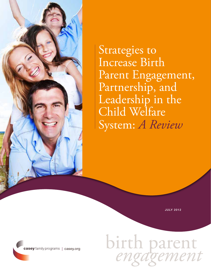

Strategies to Increase Birth Parent Engagement, Partnership, and Leadership in the Child Welfare System: *A Review*

July 2012

birth parent *engagement*

casey family programs | casey.org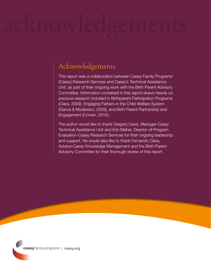## Acknowledgements

This report was a collaboration between Casey Family Programs' (Casey) Research Services and Casey's Technical Assistance Unit, as part of their ongoing work with the Birth Parent Advisory Committee. Information contained in this report draws heavily on previous research included in Birthparent Participation Programs (Clara, 2009), Engaging Fathers in the Child Welfare System (Garcia & Myslewicz, 2009), and Birth Parent Partnership and Engagement (Corwin, 2010).

The author would like to thank Gregory Davis, Manager-Casey Technical Assistance Unit and Erin Maher, Director of Program Evaluation-Casey Research Services for their ongoing leadership and support. He would also like to thank Fernando Clara, Advisor-Casey Knowledge Management and the Birth Parent Advisory Committee for their thorough review of this report.

casey family programs | casey.org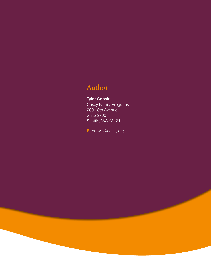## Author

## Tyler Corwin

Casey Family Programs 2001 8th Avenue Suite 2700, Seattle, WA 98121.

E tcorwin@casey.org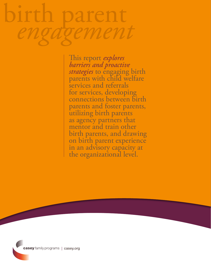# birth parent *engagement*

This report *explores barriers and proactive strategies* to engaging birth<br>parents with child welfare services and referrals for services, developing connections between birth parents and foster parents, utilizing birth parents as agency partners that mentor and train other birth parents, and drawing on birth parent experience in an advisory capacity at the organizational level.

casey family programs | casey.org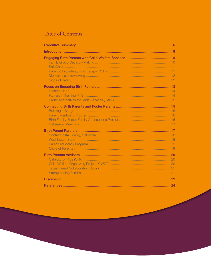## Table of Contents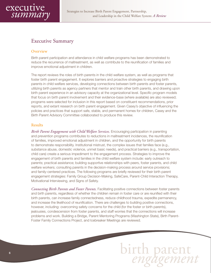

## Executive Summary

#### **Overview**

Birth parent participation and attendance in child welfare programs has been demonstrated to reduce the recurrence of maltreatment, as well as contribute to the reunification of families and improve emotional adjustment in children.

The report reviews the roles of birth parents in the child welfare system, as well as programs that foster birth parent engagement. It explores barriers and proactive strategies to engaging birth parents in child welfare services, developing connections between birth parents and foster parents, utilizing birth parents as agency partners that mentor and train other birth parents, and drawing upon birth parent experience in an advisory capacity at the organizational level. Specific program models that focus on birth parent involvement and their evidence-base (where available) are also reviewed; programs were selected for inclusion in this report based on constituent recommendations, prior reports, and extant research on birth parent engagement. Given Casey's objective of influencing the policies and practices that support safe, stable, and permanent homes for children, Casey and the Birth Parent Advisory Committee collaborated to produce this review.

#### Results

*Birth Parent Engagement with Child Welfare Services.* Encouraging participation in parenting and prevention programs contributes to reductions in maltreatment incidences, the reunification of families, improved emotional adjustment in children, and the opportunity for birth parents to demonstrate responsibility. Institutional mistrust, the complex issues that families face (e.g., substance abuse, domestic violence, unmet basic needs), and practical barriers (e.g., transportation, child care) create a serious impediment to the engagement process. Strategies to improve the engagement of birth parents and families in the child welfare system include: early outreach to parents; practical assistance; building supportive relationships with peers, foster parents, and child welfare workers; consulting parents in the decision-making process around service provisions; and family-centered practices. The following programs are briefly reviewed for their birth parent engagement strategies: Family Group Decision-Making, SafeCare, Parent-Child Interaction Therapy, Motivational Interviewing, and Signs of Safety.

*Connecting Birth Parents and Foster Parents.* Facilitating positive connections between foster parents and birth parents, regardless of whether the children remain in foster care or are reunified with their birth parents, can increase family connectedness, reduce childhood trauma, expedite permanency, and increase the likelihood of reunification. There are challenges to building positive connections, however, including: overcoming safety concerns for the child (for the foster or birth parents), jealousies, condescension from foster parents, and staff worries that the connections will increase problems and work. Building a Bridge, Parent Mentoring Programs (Washington State), Birth Parent-Foster Family Connections Project, and Icebreaker Meetings are reviewed.

<sup>6</sup> birth parent  *engagement*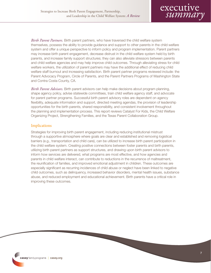

*Birth Parent Partners.* Birth parent partners, who have traversed the child welfare system themselves, possess the ability to provide guidance and support to other parents in the child welfare system and offer a unique perspective to inform policy and program implementation. Parent partners may increase birth parent engagement, decrease distrust in the child welfare system held by birth parents, and increase family support structures; they can also alleviate stressors between parents and child welfare agencies and may help improve child outcomes. Through alleviating stress for child welfare workers, the utilization of parent partners may have the additional effect of reducing child welfare staff burnout and increasing satisfaction. Birth parent partner programs reviewed include: the Parent Advocacy Program, Circle of Parents, and the Parent Partners Programs of Washington State and Contra Costa County, CA.

*Birth Parent Advisors.* Birth parent advisors can help make decisions about program planning, shape agency policy, advise statewide committees, train child welfare agency staff, and advocate for parent partner programs. Successful birth parent advisory roles are dependent on agency flexibility, adequate information and support, directed meeting agendas, the provision of leadership opportunities for the birth parents, shared responsibility, and consistent involvement throughout the planning and implementation process. This report reviews Catalyst For Kids, the Child Welfare Organizing Project, Strengthening Families, and the Texas Parent Collaboration Group.

#### Implications

Strategies for improving birth parent engagement, including reducing institutional mistrust through a supportive atmosphere where goals are clear and established and removing logistical barriers (e.g., transportation and child care), can be utilized to increase birth parent participation in the child welfare system. Creating positive connections between foster parents and birth parents, utilizing birth parent partners as support structures, and drawing upon birth parent advisors to inform how services are delivered, what programs are most effective, and how agencies and parents in child welfare interact, can contribute to reductions in the recurrence of maltreatment, the reunification of families, and improved emotional adjustment in children. These outcomes are especially significant as recurring incidences of child abuse or neglect have been linked to negative child outcomes, such as delinquency, increased behavior disorders, mental health issues, substance abuse, and reduced employment and educational achievement. Birth parents have a critical role in improving these outcomes.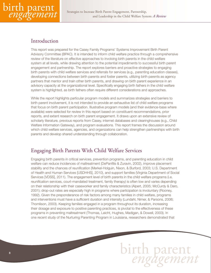

## Introduction

This report was prepared for the Casey Family Programs' Systems Improvement Birth Parent Advisory Committee (BPAC). It is intended to inform child welfare practice through a comprehensive review of the literature on effective approaches to involving birth parents in the child welfare system at all levels, while drawing attention to the potential impediments to successful birth parent engagement and partnership. The report explores barriers and proactive strategies to engaging birth parents with child welfare services and referrals for services (e.g., parenting education classes), developing connections between birth parents and foster parents, utilizing birth parents as agency partners that mentor and train other birth parents, and drawing on birth parent experience in an advisory capacity at the organizational level. Specifically engaging birth fathers in the child welfare system is highlighted, as birth fathers often require different considerations and approaches.

While the report highlights particular program models and summarizes strategies and barriers to birth parent involvement, it is not intended to provide an exhaustive list of child welfare programs that focus on birth parent participation. Illustrative program models (and their evidence-base where available) were selected for review in this report based on constituent recommendations, prior reports, and extant research on birth parent engagement. It draws upon an extensive review of scholarly literature, previous reports from Casey, internet databases and clearinghouses (e.g., Child Welfare Information Gateway), and program evaluations. This report frames the discussion around which child welfare services, agencies, and organizations can help strengthen partnerships with birth parents and develop shared understanding through collaboration.

## Engaging Birth Parents With Child Welfare Services

Engaging birth parents in critical services, prevention programs, and parenting education in child welfare can reduce incidences of maltreatment (DePanfilis & Zuravin, 2002), improve placement stability and the chances of reunification (Merkel-Holguin, Nixon, & Burford, 2003; U.S. Department of Health and Human Services [USDHHS], 2010), and support families (Virginia Department of Social Services [VDSS], 2011). The engagement level of birth parents in the child welfare programs (i.e. reunification services, court-mandated treatment, family therapy) is often low and varies depending on their relationship with their caseworker and family characteristics (Alpert, 2005; McCurdy & Daro, 2001); drop-out rates are especially high in programs where participation is involuntary (Rooney, 1992). Given the preponderance of risk factors among many families in child welfare, programs and interventions must have a sufficient duration and intensity (Lundahl, Nimer, & Parsons, 2006; Thomlison, 2003). Keeping families engaged in a program throughout its duration, increasing their dosage and exposure to positive parenting practices, is pivotal to the effectiveness of these programs in preventing maltreatment (Thomas, Leicht, Hughes, Madigan, & Dowell, 2003). In one recent study of the Nurturing Parenting Program in Louisiana, researchers demonstrated that

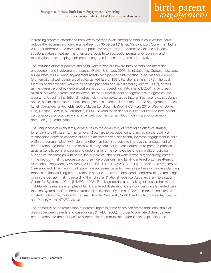

increasing program attendance from low to average levels among parents in child welfare could reduce the recurrence of child maltreatment by 35 percent (Maher, Marcynyszyn, Corwin, & Hodnett, 2011). Furthermore, the completion of particular programs (e.g., domestic violence education, substance abuse treatment) is often a prerequisite to successful permanency planning and reunification; thus, keeping birth parents engaged in these programs is imperative.

The attitudes of foster parents and child welfare workers toward birth parents can affect the engagement and involvement of parents (Poirier & Simard, 2006; Saint-Jacques, Drapeau, Lessard, & Beaudoin, 2006); when engagement affects birth parent-child visitation, outcomes for children (e.g., emotional well-being) are affected as well (Erera, 1997; Fanshel & Shinn, 1978). The dual function of child welfare workers as service providers and investigators (Roberts, 2007), as well as the presence of child welfare workers in court proceedings (Yatchmenoff, 2001), may breed mistrust between parents and caseworkers that further hinders engagement with agencies and programs. Coupling institutional mistrust with the complex issues that families face (e.g., substance abuse, health issues, unmet basic needs) creates a serious impediment to the engagement process (Littell, Alexander, & Reynolds, 2001; Marcenko, Brown, DeVoy, & Conway, 2010; Wagner, Spiker, Linn, Gerlach-Downie, & Hernandez, 2003). Beyond these deeper issues that impede birth parent participation, practical barriers exist as well, such as transportation, child care, or competing demands (e.g., employment).

The uniqueness of every family contributes to the complexity of creating an effective strategy for engaging birth parents. The removal of barriers to participation and improving the quality of relationships between caseworkers and birth parents can significantly increase engagement in child welfare programs, which will help strengthen families. Strategies to improve the engagement of birth parents and families in the child welfare system include: early outreach to parents; practical assistance; efficacy in engaging and understanding the complexities of child welfare; building supportive relationships with peers, foster parents, and child welfare workers; consulting parents in the decision-making process around service provisions; and family-centered practices (Kemp, Marcenko, Hoagwood, & Vesneski, 2009; USDHHS, 2010; VDSS, 2011). In addition, a Systems of Care approach to engaging birth parents emphasizes parents' roles as partners in the case planning process, acknowledging birth parents as experts in their personal needs, and providing a meaningful role in the decision making regarding their children (National Technical Assistance and Evaluation Center for Systems of Care [NTAEC], 2008). Family group decision-making, discussed below, and child-family teams are examples of family-centered Systems of Care work being implemented within the nine Systems of Care demonstration sites (National Systems of Care demonstration sites are located in California, Colorado, Kansas, Nevada, New York, North Carolina, North Dakota, Oregon, and Pennsylvania (NTAEC, 2010).).

The possibility of the termination of parental rights in some cases can create additional strain or distrust between parents and caseworkers (NTAEC, 2008). In order to alleviate distrust between birth parents and the child welfare system, clear communication about service planning and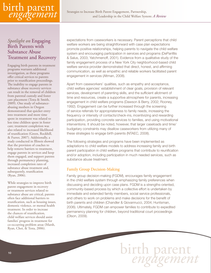

## *Spotlight on* Engaging Birth Parents with Substance Abuse Treatment and Recovery

Engaging birth parents in treatment programs warrants additional investigation, as these programs offer critical services to parents prior to reunification proceedings. The inability to engage parents in substance abuse recovery services can result in the removal of children from parental custody and foster care placement (Testa & Smith, 2009). One study of substanceabusing mothers in Oregon demonstrated that quicker entry into treatment and more time spent in treatment was related to less time children spent in foster care; treatment completion was also related to increased likelihood of reunification (Green, Rockhill, & Furrer, 2007). Additionally, a study conducted in Illinois showed that the provision of coaches to help remove barriers to treatment, engage parents in services and keep them engaged, and support parents through permanency planning, increased completion rates of substance abuse treatment and, subsequently, reunification (Ryan, 2006).

While strategies to improve birth parent engagement in recovery or treatment services related to substance abuse are critical, parents often face additional barriers to reunification, such as housing issues, domestic violence, or mental health treatment. In order to increase the chances of reunification, child welfare services should assist families' progress in treatment for co-occurring problem areas (Marsh, Ryan, Choi, & Testa, 2006).

expectations from caseworkers is necessary. Parent perceptions that child welfare workers are being straightforward with case plan expectations promote positive relationships, helping parents to navigate the child welfare system and encouraging participation in services and programs (DePanfilis & Salus, 2003; Yatchmenoff, 2001). Evidence from a qualitative study of the family engagement process of a New York City neighborhood-based child welfare service provider demonstrated that direct, honest, and affirming communication, as well as empathic and reliable workers facilitated parent engagement in services (Altman, 2008).

Apart from caseworkers' qualities, such as empathy and acceptance, child welfare agencies' establishment of clear goals, provision of relevant services, development of parenting skills, and the sufficient allotment of time and resources, create a supportive atmosphere for parents, increasing engagement in child welfare programs (Dawson & Berry, 2002; Rooney, 1992). Engagement can be further increased through the screening of service referrals for appropriateness to family needs, increasing the frequency or intensity of contacts/check-ins, incentivizing and rewarding participation, providing concrete services to families, and using motivational interventions. It should be noted, however, that larger caseloads and time/ budgetary constraints may disallow caseworkers from utilizing many of these strategies to engage birth parents (NTAEC, 2008).

The following strategies and programs have been implemented as adaptations to child welfare models to address increasing family and birth parent participation in child welfare programs that contribute to reunification and/or adoption, including participation in much needed services, such as substance abuse treatment.

#### Family Group Decision-Making

Family group decision-making (FGDM), encourages family engagement in the child welfare system through emphasizing family preferences when discussing and deciding upon case plans. FGDM is a strengths-oriented, community-based process by which a collective effort is undertaken by immediate and extended family members, social service professionals, and others to work on problems and make decisions for the benefit of birth parents and children (Chandler & Giovannucci, 2004; Huntsman, 2006). Ultimately, FGDM can empower families to contribute to expedited permanency planning for children, beyond traditional court proceedings (Olson, 2009).

10 birth parent  *engagement*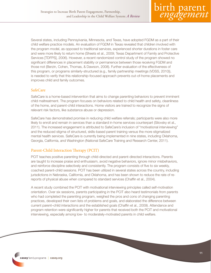

Several states, including Pennsylvania, Minnesota, and Texas, have adopted FGDM as a part of their child welfare practice models. An evaluation of FGDM in Texas revealed that children involved with the program model, as opposed to traditional services, experienced shorter durations in foster care and were more likely to return home (Sheets et al., 2009; Texas Department of Family and Protective Services [TDFPS], 2006). However, a recent randomized control study of the program showed no significant differences in placement stability or permanence between those receiving FGDM and those not (Berzin, Cohen, Thomas, & Dawson, 2008). Further evaluation of the effectiveness of this program, or programs similarly-structured (e.g., family partnership meetings (VDSS, 2010)), is needed to verify that this relationship-focused approach prevents out-of-home placements and improves child and family outcomes.

#### SafeCare

SafeCare is a home-based intervention that aims to change parenting behaviors to prevent imminent child maltreatment. The program focuses on behaviors related to child health and safety, cleanliness of the home, and parent-child interactions. Home visitors are trained to recognize the signs of relevant risk factors, like substance abuse or depression.

SafeCare has demonstrated promise in reducing child welfare referrals; participants were also more likely to enroll and remain in services than a standard in-home services counterpart (Silovsky et al., 2011). The increased engagement is attributed to SafeCare's inclusion of "motivational interviewing" and the reduced stigma of structured, skills-based parent training versus the more stigmatized mental health services. SafeCare is currently being implemented in nine states, including Oklahoma, Georgia, California, and Washington (National SafeCare Training and Research Center, 2011).

#### Parent-Child Interaction Therapy (PCIT)

PCIT teaches positive parenting through child-directed and parent-directed interactions. Parents are taught to increase praise and enthusiasm, avoid negative behaviors, ignore minor misbehaviors, and reinforce discipline selectively and consistently. The program consists of five to six weekly, coached parent-child sessions. PCIT has been utilized in several states across the country, including jurisdictions in Nebraska, California, and Oklahoma, and has been shown to reduce the rate of rereports of physical abuse when compared to standard services (Chaffin et al., 2004).

A recent study combined the PCIT with motivational interviewing principles called self-motivation orientation. Over six sessions, parents participating in the PCIT also heard testimonials from parents who had completed the parenting program, weighed the pros and cons of changing parenting practices, developed their own lists of problems and goals, and elaborated the difference between current parent–child interactions and the established goals (Chaffin et al., 2009). Attendance and program retention were significantly higher for parents that received both the PCIT and motivational interviewing, especially among low- to moderately-motivated parents in child welfare.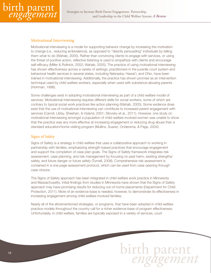

#### Motivational Interviewing

Motivational interviewing is a model for supporting behavior change by increasing the motivation to change (i.e., reducing ambivalence), as opposed to "directly persuading" individuals by telling them what to do (Wahab, 2005). Rather than convincing clients to engage with services, or using the threat of punitive action, reflective listening is used to empathize with clients and encourage self-efficacy (Miller & Rollnick, 2002; Wahab, 2005). The practice of using motivational interviewing has shown effectiveness across a variety of settings; practitioners in the juvenile court system and behavioral health services in several states, including Nebraska, Hawai'i, and Ohio, have been trained in motivational interviewing. Additionally, the practice has shown promise as an intervention technique used by child welfare workers, especially when used with substance-abusing parents (Hohman, 1998).

Some challenges exist in adopting motivational interviewing as part of a child welfare model of services. Motivational interviewing requires different skills for social workers, some of which are contrary to typical social work practices like action planning (Wahab, 2005). Some evidence does exist that the use of motivational interviewing can contribute to increased parent engagement with services (Carroll, Libby, Sheehan, & Hyland, 2001; Silovsky et al., 2011). However, one study on motivational interviewing amongst a population of child-welfare involved women was unable to show that the practice was any more effective at increasing engagement or reducing drug abuse than a standard education/home-visiting program (Mullins, Suarez, Ondersma, & Page, 2004).

#### Signs of Safety

Signs of Safety is a strategy in child welfare that uses a collaborative approach to working in partnership with families, emphasizing strength-based practices that encourage engagement and support the completion of case plan goals. The Signs of Safety framework integrates risk assessment, case planning, and risk management by focusing on past harm, existing strengths/ safety, and future danger or future safety (Turnell, 2008). Comprehensive risk assessment is contained in a one-page assessment protocol, which can be used from case opening through case closure.

The Signs of Safety approach has been integrated in child welfare work practice in Minnesota and Massachusetts. Initial findings from studies in Minnesota have shown that the Signs of Safety approach may have promising results for reducing out-of-home placements (Department for Child Protection, 2011). More of an evidence-base is needed, however, to demonstrate its effectiveness in increasing engagement among child-welfare involved families.

Nearly all of the aforementioned strategies, or programs, that have been adopted in child welfare practice models throughout the country call for a richer evidence-base of program effectiveness. Unfortunately, in child welfare, families are typically exposed to a variety of services, court

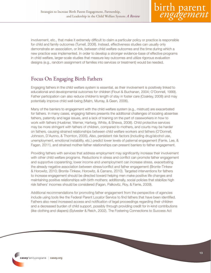

involvement, etc., that make it extremely difficult to claim a particular policy or practice is responsible for child and family outcomes (Turnell, 2008). Instead, effectiveness studies can usually only demonstrate an association, or link, between child welfare outcomes and the time during which a new practice was implemented. In order to develop a stronger evidence-base of effective programs in child welfare, larger-scale studies that measure key outcomes and utilize rigorous evaluation designs (e.g., random assignment of families into services or treatment) would be needed.

## Focus On Engaging Birth Fathers

Engaging fathers in the child welfare system is essential, as their involvement is positively linked to educational and developmental outcomes for children (Flouri & Buchanan, 2004; O'Donnell, 1999). Father participation can also reduce children's length of stay in foster care (Coakley, 2008) and may potentially improve child well-being (Malm, Murray, & Geen, 2006).

Many of the barriers to engagement with the child welfare system (e.g., mistrust) are exacerbated for fathers. In many cases, engaging fathers presents the additional challenges of locating absentee fathers, paternity and legal issues, and a lack of training on the part of caseworkers in how to work with fathers (Huebner, Werner, Hartwig, White, & Shewa, 2008). Child protective services may be more stringent with fathers of children, compared to mothers, and courts may be harder on fathers, causing strained relationships between child welfare workers and fathers (O'Donnell, Johnson, D'Aunno, & Thornton, 2005). Also, persistent risk factors (including drug/alcohol use, unemployment, emotional instability, etc.) predict lower levels of paternal engagement (Farrie, Lee, & Fagan, 2011), and strained mother-father relationships can present barriers to father engagement.

Providing fathers with services that address employment may significantly increase their involvement with other child welfare programs. Reductions in stress and conflict can promote father engagement and supportive coparenting; lower income and unemployment can increase stress, exacerbating the already negative association between stress/conflict and father engagement (Bronte-Tinkew & Horowitz, 2010; Bronte-Tinkew, Horowitz, & Carrano, 2010). Targeted interventions for fathers to increase engagement should be directed toward helping men make positive life changes and maintaining positive relationships with birth mothers; additionally, social policies that stabilize high risk fathers' incomes should be considered (Fagan, Palkovitz, Roy, & Farrie, 2009).

Additional recommendations for promoting father engagement from the perspective of agencies include using tools like the Federal Parent Locator Service to find fathers that have been identified. Fathers also need increased access and notification of legal proceedings regarding their children and a decreased burden of child support, possibly through providing credit for in-kind contributions (like clothing and diapers) (Sylvester & Reich, 2002). The Fostering Connections to Success Act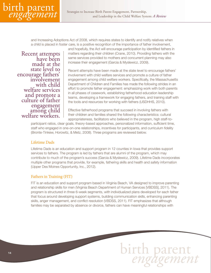

and Increasing Adoptions Act of 2008, which requires states to identify and notify relatives when a child is placed in foster care, is a positive recognition of the importance of father involvement,

Recent attempts have been made at the state level to encourage fathers' involvement with child welfare services and promote a culture of father engagement among child welfare workers. and hopefully, the Act will encourage participation by identified fathers in matters regarding their children (Crane, 2010). Providing fathers with the same services provided to mothers and concurrent planning may also increase their engagement (Garcia & Myslewicz, 2009).

Recent attempts have been made at the state level to encourage fathers' involvement with child welfare services and promote a culture of father engagement among child welfare workers. Specifically, the Massachusetts Department of Children and Families has made the following strides in an effort to promote father engagement: emphasizing work with both parents in all phases of casework, establishing fatherhood education leadership teams, developing a framework for engaging fathers, and training staff with the tools and resources for working with fathers (USDHHS, 2010).

Effective fatherhood programs that succeed in involving fathers with their children and families shared the following characteristics: cultural appropriateness, facilitators who believed in the program, high staff-to-

participant ratios, clear goals, theory-based approaches, personalized information, sufficient time, staff who engaged in one-on-one relationships, incentives for participants, and curriculum fidelity (Bronte-Tinkew, Horowitz, & Metz, 2008). Three programs are reviewed below.

#### Lifetime Dads

Lifetime Dads is an education and support program in 12 counties in Iowa that provides support services to fathers. The program is led by fathers that are alumni of the program, which may contribute to much of the program's success (Garcia & Myslewicz, 2009). Lifetime Dads incorporates multiple other programs that provide, for example, fathering skills and health and safety information (Upper Des Moines Opportunity, Inc., 2012).

#### Fathers in Training (FIT)

FIT is an education and support program based in Virginia Beach, VA designed to improve parenting and relationship skills for men (Virginia Beach Department of Human Services [VBDSS], 2011). The program is structured in three 6-week segments, with individualized plans developed for each father that focus around developing support systems, building communication skills, enhancing parenting skills, anger management, and conflict resolution (VBDSS, 2011). FIT emphasizes that although families may be separated by absence or divorce, fathers can have meaningful relationships with

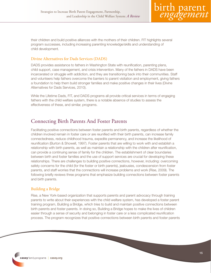their children and build positive alliances with the mothers of their children. FIT highlights several program successes, including increasing parenting knowledge/skills and understanding of child development.

#### Divine Alternatives for Dads Services (DADS)

DADS provides assistance to fathers in Washington State with reunification, parenting plans, child support, case management, and crisis intervention. Many of the fathers in DADS have been incarcerated or struggle with addiction, and they are transitioning back into their communities. Staff and volunteers help fathers overcome the barriers to parent visitation and employment, giving fathers a foundation to help them build stronger families and make positive changes in their lives (Divine Alternatives for Dads Services, 2010).

While the Lifetime Dads, FIT, and DADS programs all provide critical services in terms of engaging fathers with the child welfare system, there is a notable absence of studies to assess the effectiveness of these, and similar, programs.

## Connecting Birth Parents And Foster Parents

Facilitating positive connections between foster parents and birth parents, regardless of whether the children involved remain in foster care or are reunified with their birth parents, can increase family connectedness, reduce childhood trauma, expedite permanency, and increase the likelihood of reunification (Burton & Showell, 1997). Foster parents that are willing to work with and establish a relationship with birth parents, as well as maintain a relationship with the children after reunification, can provide a continuing sense of family for the children. The establishment of clear boundaries between birth and foster families and the use of support services are crucial for developing these relationships. There are challenges to building positive connections, however, including: overcoming safety concerns for the child (for the foster or birth parents), jealousies, condescension from foster parents, and staff worries that the connections will increase problems and work (Rise, 2009). The following briefly reviews three programs that emphasize building connections between foster parents and birth parents.

#### Building a Bridge

Rise, a New York-based organization that supports parents and parent advocacy through training parents to write about their experiences with the child welfare system, has developed a foster parent training program, Building a Bridge, which tries to build and maintain positive connections between birth parents and foster parents. In doing so, Building a Bridge hopes to make the lives of children easier through a sense of security and belonging in foster care or a less complicated reunification process. The program recognizes that positive connections between birth parents and foster parents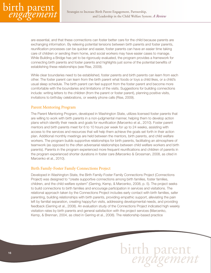

are essential, and that these connections can foster better care for the child because parents are exchanging information. By relieving potential tensions between birth parents and foster parents, reunification processes can be quicker and easier, foster parents can have an easier time taking care of children or sending them home, and social workers may have easier cases to manage. While Building a Bridge has yet to be rigorously evaluated, the program provides a framework for connecting birth parents and foster parents and highlights just some of the potential benefits of establishing these relationships (see Rise, 2009).

While clear boundaries need to be established, foster parents and birth parents can learn from each other. The foster parent can learn from the birth parent what foods or toys a child likes, or a child's usual sleep schedule. The birth parent can feel support from the foster parent and become more comfortable with the boundaries and limitations of the visits. Suggestions for building connections include: writing letters to the children (from the parent or foster parent), planning positive visits, invitations to birthday celebrations, or weekly phone calls (Rise, 2009).

#### Parent Mentoring Program

The Parent Mentoring Program, developed in Washington State, utilizes licensed foster parents that are willing to work with birth parents in a non-judgmental manner, helping them to develop action plans which identify their needs and goals for reunification (Marcenko et al., 2010). Foster parent mentors and birth parents meet for 6 to 10 hours per week for up to 24 weeks, assisting with access to the services and resources that will help them achieve the goals set forth in their action plan. Additional monthly meetings are held between the mentors, birth parents, and child welfare workers. The program builds supportive relationships for birth parents, facilitating an atmosphere of teamwork (as opposed to the often adversarial relationships between child welfare workers and birth parents). Parents in the program experienced more frequent reunifications and children of parents in the program experienced shorter durations in foster care (Marcenko & Grossman, 2008, as cited in Marcenko et al., 2010).

#### Birth Family-Foster Family Connections Project

Developed in Washington State, the Birth Family-Foster Family Connections Project (Connections Project) was designed to "create supportive connections among birth families, foster families, children, and the child welfare system" (Gerring, Kemp, & Marcenko, 2008, p. 5). The project seeks to build connections to birth families and encourage participation in services and visitations. The relational approach taken by the Connections Project includes early contact with birth families, safer parenting, building relationships with birth parents, providing empathic support, alleviating the pain left by familial separation, creating happy/fun visits, addressing developmental needs, and providing feedback (Gerring et al., 2008). An evaluation study of the Connections Project indicated high weekly visitation rates by birth parents and general satisfaction with the project services (Marcenko, Kemp, & Brennan, 2004, as cited in Gerring et al., 2008). The relationship-based practice

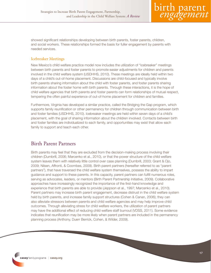

showed significant relationships developing between birth parents, foster parents, children, and social workers. These relationships formed the basis for fuller engagement by parents with needed services.

#### Icebreaker Meetings

New Mexico's child welfare practice model now includes the utilization of "icebreaker" meetings between birth parents and foster parents to promote easier adjustments for children and parents involved in the child welfare system (USDHHS, 2010). These meetings are ideally held within two days of a child's out-of-home placement. Discussions are child-focused and typically involve birth parents sharing information about the child with foster parents, and foster parents sharing information about the foster home with birth parents. Through these interactions, it is the hope of child welfare agencies that birth parents and foster parents can form relationships of mutual respect, tempering the often painful experience of out-of-home placement for children and families.

Furthermore, Virginia has developed a similar practice, called the Bridging the Gap program, which supports family reunification or other permanency for children through communication between birth and foster families (USDHHS, 2010). Icebreaker meetings are held within seven days of a child's placement, with the goal of sharing information about the children involved. Contacts between birth and foster families are individualized to each family, and opportunities may exist that allow each family to support and teach each other.

## Birth Parent Partners

Birth parents may feel that they are excluded from the decision-making process involving their children (Dumbrill, 2006; Marcenko et al., 2010), or that the power structure of the child welfare system leaves them with relatively little control over case planning (Dumbrill, 2003; Grant & Ojo, 2009; Nilsen, Affronti, & Coombes, 2009). Birth parent partners (hereafter referred to as "parent partners"), that have traversed the child welfare system themselves, possess the ability to impart guidance and support to these parents. In this capacity, parent partners can fulfill numerous roles, serving as advocates, leaders, or mentors (Birth Parent Partnership Initiative, 2009). Collaborative approaches have increasingly recognized the importance of the first-hand knowledge and experience that birth parents are able to provide (Jeppson et al., 1997; Marcenko et al., 2010). Parent partners may increase birth parent engagement, decrease distrust in the child welfare system held by birth parents, and increase family support structures (Cohen & Canan, 2006); they can also alleviate stressors between parents and child welfare agencies and may help improve child outcomes. Through alleviating stress for child welfare workers, the utilization of parent partners may have the additional effect of reducing child welfare staff burnout (VDSS, 2011). Some evidence indicates that reunification may be more likely when parent partners are included in the permanency planning process (Anthony, Duerr Berrick, Cohen, & Wilder, 2009).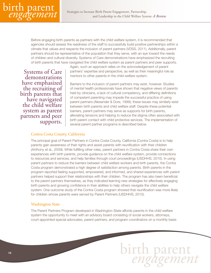

Before engaging birth parents as partners with the child welfare system, it is recommended that agencies should assess the readiness of the staff to successfully build positive partnerships within a climate that values and respects the inclusion of parent partners (VDSS, 2011). Additionally, parent partners should be representative of the population that they serve, with an eye toward the needs of children and cultural diversity. Systems of Care demonstrations have emphasized the recruiting of birth parents that have navigated the child welfare system as parent partners and peer supports.

Systems of Care demonstrations have emphasized the recruiting of birth parents that have navigated the child welfare system as parent partners and peer supports.

Again, such an approach relies on the acknowledgement of parent partners' expertise and perspective, as well as their meaningful role as mentors to other parents in the child welfare system.

Barriers to the inclusion of parent partners may exist, however. Studies of mental health professionals have shown that negative views of parents held by clinicians, a lack of cultural competency, and differing definitions of competent parenting may impede the successful practice of using parent partners (Alexander & Dore, 1999); these issues may similarly exist between birth parents and child welfare staff. Despite these potential barriers, parent partners may serve as supports for birth parents, alleviating tensions and helping to reduce the stigma often associated with birth parent contact with child protective services. The implementation of several parent partner programs is described below.

#### Contra Costa County, California

The principal goal of Parent Partners in Contra Costa County, California (Contra Costa) is to help parents gain awareness of their rights and assist parents with reunification with their children (Anthony et al., 2009). While fulfilling other roles, parent partners in Contra Costa share their own experiences with birth parents, provide guidance on the child welfare system, provide connections to resources and services, and help families through court proceedings (USDHHS, 2010). In using parent partners to reduce the barriers between child welfare workers and birth parents, the Contra Costa program demonstrated a high degree of satisfaction among parents. Birth parents in the program reported feeling supported, empowered, and informed, and shared experiences with parent partners helped support their relationships with their children. The program has also been beneficial to the parent partners themselves, as they indicated learning new strategies for effectively engaging birth parents and growing confidence in their abilities to help others navigate the child welfare system. One outcome study of the Contra Costa program showed that reunification was more likely for children whose parents were served by Parent Partners (USDHHS, 2010).

#### Washington State

The Parent Partners Program developed in Washington State affords parents in the child welfare system the opportunity to meet with an advisory board consisting of social workers, attorneys, court-appointed special advocates, parent partners, and program coordinators on a monthly basis

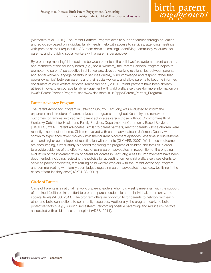

(Marcenko et al., 2010). The Parent Partners Program aims to support families through education and advocacy based on individual family needs, help with access to services, attending meetings with parents at their request (i.e. AA, team decision making), identifying community resources for parents, and providing social workers with a parent's perspective.

By promoting meaningful interactions between parents in the child welfare system, parent partners, and members of the advisory board (e.g., social workers), the Parent Partners Program hopes to promote the parents' perspective in child welfare, develop working relationships between parents and social workers, engage parents in services quickly, build knowledge and respect (rather than power dynamics) between parents and their social workers, and allow parents to become informed consumers of child welfare services (Marcenko et al., 2010). Parent partners have been similarly utilized in Iowa to encourage family engagement with child welfare services (for more information on Iowa's Parent Partner Program, see www.dhs.state.ia.us/cppc/Parent\_Partner\_Program).

#### Parent Advocacy Program

The Parent Advocacy Program in Jefferson County, Kentucky, was evaluated to inform the expansion and structure of parent advocate programs throughout Kentucky and review the outcomes for families involved with parent advocates versus those without (Commonwealth of Kentucky Cabinet for Health and Family Services, Department of Community Based Services [CKCHFS], 2007). Parent advocates, similar to parent partners, mentor parents whose children were recently placed out-of-home. Children involved with parent advocates in Jefferson County were shown to experience fewer moves within their current placement episodes, less time in out-of-home care, and higher percentages of reunification with parents (CKCHFS, 2007). While these outcomes are encouraging, further study is needed regarding the progress of children and families in order to provide evidence of the effectiveness of using parent advocates. In recognition of the ongoing evaluation of the implementation of parent advocates in Kentucky, areas for improvement have been documented, including: reviewing the policies for accepting former child welfare services clients to serve as parent advocates, familiarizing child welfare workers with the Parent Advocacy Program, and communicating with family court judges regarding parent advocates' roles (e.g., testifying in the cases of families they serve) (CKCHFS, 2007).

#### Circle of Parents

Circle of Parents is a national network of parent leaders who hold weekly meetings, with the support of a trained facilitator, in an effort to promote parent leadership at the individual, community, and societal levels (VDSS, 2011). The program offers an opportunity for parents to network with each other and build connections to community resources. Additionally, the program works to build protective factors (e.g., building self-esteem, reinforcing positive parenting) and reduce risk factors associated with child abuse and neglect (VDSS, 2011).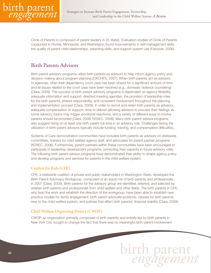

Circle of Parents is composed of parent leaders in 25 states. Evaluation studies of Circle of Parents conducted in Florida, Minnesota, and Washington found improvements in self-management skills, the quality of parent-child relationships, parenting skills, and support system use (Falconer, 2006).

## Birth Parents Advisors

Birth parent advisory programs utilize birth parents as advisors to help inform agency policy and decision making about program planning (CKCHFS, 2007). When birth parents act as advisors to agencies, often their dependency court case has been closed for a significant amount of time and all issues related to the court case have been resolved (e.g., domestic violence counseling) (Clara, 2009). The success of birth parent advisory programs is dependent on agency flexibility, adequate information and support, directed meeting agendas, the provision of leadership roles for the birth parents, shared responsibility, and consistent involvement throughout the planning and implementation process (Clara, 2009). In order to recruit and retain birth parents as advisors, adequate compensation or support, time to debrief (allowing advisors to process their feelings as some advisory topics may trigger emotional reactions), and a variety of different ways to involve parents should be provided (Clara, 2009; NTAEC, 2008). Many birth parent advisor programs also suggest hiring on at least one birth parent full-time in an advisory role. Challenges facing the utilization of birth parent advisors typically include funding, training, and compensation difficulties.

Systems of Care demonstration communities have included birth parents as advisors on statewide committees, trainers for child welfare agency staff, and advocates for parent partner programs (NTAEC, 2008). Furthermore, parent partners within these communities have been encouraged to participate in leadership development programs, promoting their capacity in future advisory roles. The following birth parent advisor programs have demonstrated their ability to shape agency policy and develop programs and services for parents in the child welfare system.

#### Catalyst for Kids (CFK)

CFK, a statewide coalition of private and public stakeholders in Washington State, developed the Birth Parent Advocacy Workgroup, composed of an equal mix of birth parents and professionals, in 2007 (Clara, 2009). Birth parents for the advisory group are identified, referred, and selected by veteran birth parents and professionals from child welfare and other fields. The birth parents in CFK, who lead the work and establish the direction of the workgroup, have been able to establish new practice models for family engagement, birth parent advocate positions, classes for birth parents new to the child welfare system, and policies that affect birth parents' financial stability (Clara, 2009).

#### Child Welfare Organizing Project (CWOP)

CWOP, an organization primarily composed of birth parents and entirely led by birth parents in New York City, sought to change the fact that there was no meaningful birth parent involvement

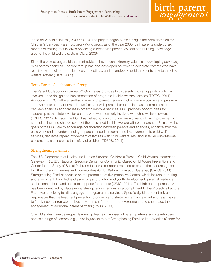

in the delivery of services (CWOP, 2010). The project began participating in the Administration for Children's Services' Parent Advisory Work Group as of the year 2000; birth parents undergo six months of training that involves observing current birth parent advisors and building knowledge around the child welfare system (Clara, 2009).

Since the project began, birth parent advisors have been extremely valuable in developing advocacy roles across agencies. The workgroup has also developed activities to celebrate parents who have reunified with their children, icebreaker meetings, and a handbook for birth parents new to the child welfare system (Clara, 2009).

#### Texas Parent Collaboration Group

The Parent Collaboration Group (PCG) in Texas provides birth parents with an opportunity to be involved in the design and implementation of programs in child welfare services (TDFPS, 2011). Additionally, PCG gathers feedback from birth parents regarding child welfare policies and program improvements and partners child welfare staff with parent liaisons to increase communication between agencies and families in order to improve services. PCG provides opportunities for leadership at the state level for parents who were formerly involved with child welfare services (TDFPS, 2011). To date, the PCG has helped to train child welfare workers, inform improvements in state planning, and change some of the tools used in child welfare with birth parents. Ultimately, the goals of the PCG are to encourage collaboration between parents and agencies, enhance effective case work and an understanding of parents' needs, recommend improvements to child welfare services, decrease repeat involvement of families with child welfare, resulting in fewer out-of-home placements, and increase the safety of children (TDFPS, 2011).

#### Strengthening Families

The U.S. Department of Health and Human Services, Children's Bureau, Child Welfare Information Gateway, FRIENDS National Resource Center for Community-Based Child Abuse Prevention, and Center for the Study of Social Policy undertook a collaborative effort to create the resource guide for Strengthening Families and Communities (Child Welfare Information Gateway [CWIG], 2011). Strengthening Families focuses on the promotion of five protective factors, which include: nurturing and attachment, knowledge of parenting and of child and youth development, parental resilience, social connections, and concrete supports for parents (CWIG, 2011). The birth parent perspective has been identified by states using Strengthening Families as a compliment to the Protective Factors Framework, helping families engage in programs and services. Specifically, birth parent advisors help ensure that maltreatment prevention programs and strategies remain relevant and responsive to family needs, promote the best environment for children's development, and encourage the engagement of additional parent partners (CWIG, 2011).

Over 30 states have developed leadership teams composed of parent partners and stakeholders across a range of sectors (e.g., juvenile justice) to put Strengthening Families into practice (Center for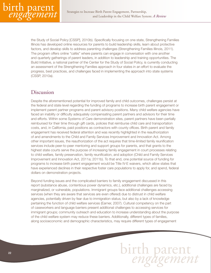

the Study of Social Policy [CSSP], 2010b). Specifically focusing on one state, Strengthening Families Illinois has developed online resources for parents to build leadership skills, learn about protective factors, and develop skills to address parenting challenges (Strengthening Families Illinois, 2011). The program offers online "cafés" where parents can engage in conversation with one another and quarterly gatherings of parent leaders, in addition to leadership and training opportunities. The Build Initiative, a national partner of the Center for the Study of Social Policy, is currently conducting an assessment of the Strengthening Families approach in four states in an effort to evaluate the progress, best practices, and challenges faced in implementing the approach into state systems (CSSP, 2010a).

## Discussion

Despite the aforementioned potential for improved family and child outcomes, challenges persist at the federal and state level regarding the funding of programs to increase birth parent engagement or implement parent partner programs and parent advisory positions. Many child welfare agencies have faced an inability or difficulty adequately compensating parent partners and advisors for their time and efforts. Within some Systems of Care demonstration sites, parent partners have been partially reimbursed for their time through gift cards, policies that reimburse child care and transportation costs, and, in California, paid positions as contractors with county offices. Birth parent and family engagement has received federal attention and was recently highlighted in the reauthorization of and amendments to the Child and Family Services Improvement and Innovation Act. Among other important issues, the reauthorization of the act requires that time-limited family reunification services include peer-to-peer mentoring and support groups for parents, and that grants to the highest state courts serve the purpose of increasing family engagement in court processes relating to child welfare, family preservation, family reunification, and adoption (Child and Family Services Improvement and Innovation Act, 2011a; 2011b). To that end, one potential source of funding for programs to increase birth parent engagement would be Title IV-E waivers, which allow states that have experienced declines in their respective foster care populations to apply for, and spend, federal dollars on demonstration projects.

Beyond funding issues and the complicated barriers to family engagement discussed in this report (substance abuse, contentious power dynamics, etc.), additional challenges are faced by marginalized, or vulnerable, populations. Immigrant groups face additional challenges accessing services (when they are aware that services are even offered) due to distrust in child welfare agencies, potentially driven by fear due to immigration status, but also by a lack of knowledge pertaining the function of child welfare services (Earner, 2007). Cultural competency on the part of caseworkers and language barriers present additional challenges to accessing services for immigrant groups; community outreach and education to increase understanding about the purpose of the child welfare system may reduce these barriers. Additionally, different types of families, along socioeconomic and demographic characteristics, may require different types of engagement

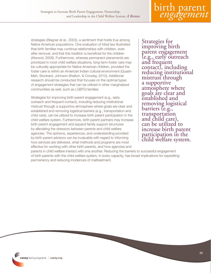strategies (Wagner et al., 2003), a sentiment that holds true among Native American populations. One evaluation of tribal law illustrated that birth families may continue relationships with children, even after removal, and that this tradition is beneficial for the children (Atwood, 2008). Furthermore, whereas permanent placements are prioritized in most child welfare situations, long-term foster care may be culturally appropriate for Native American children, provided the foster care is within an American Indian cultural environment (Quash-Mah, Stockard, Johnson-Shelton, & Crowley, 2010). Additional research should be conducted that focuses on the optimal types of engagement strategies that can be utilized in other marginalized communities as well, such as LGBTQ families.

Strategies for improving birth parent engagement (e.g., early outreach and frequent contact), including reducing institutional mistrust through a supportive atmosphere where goals are clear and established and removing logistical barriers (e.g., transportation and child care), can be utilized to increase birth parent participation in the child welfare system. Furthermore, birth parent partners may increase birth parent engagement and expand family support structures by alleviating the stressors between parents and child welfare agencies. The opinions, experiences, and understanding provided by birth parent advisors can be invaluable with regard to informing how services are delivered, what methods and programs are most effective for working with other birth parents, and how agencies and

Strategies for improving birth parent engagement (e.g., early outreach and frequent contact), including reducing institutional mistrust through a supportive atmosphere where goals are clear and established and removing logistical barriers (e.g., transportation and child care), can be utilized to increase birth parent participation in the child welfare system.

parents in child welfare interact with one another. Reducing the barriers to successful engagement of birth parents with the child welfare system, in every capacity, has broad implications for expediting permanency and reducing incidences of maltreatment.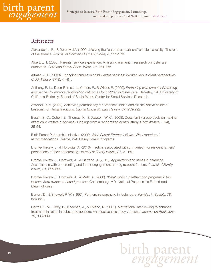

## References

Alexander, L. B., & Dore, M. M. (1999). Making the "parents as partners" principle a reality: The role of the alliance. *Journal of Child and Family Studies, 8*, 255-270.

Alpert, L. T. (2005). Parents' service experience: A missing element in research on foster are outcomes. *Child and Family Social Work, 10*, 361-366.

Altman, J. C. (2008). Engaging families in child welfare services: Worker versus client perspectives. *Child Welfare, 87*(3), 41-61.

Anthony, E. K., Duerr Berrick, J., Cohen, E., & Wilder, E. (2009). *Partnering with parents: Promising approaches to improve reunification outcomes for children in foster care.* Berkeley, CA: University of California-Berkeley, School of Social Work, Center for Social Services Research.

Atwood, B. A. (2008). Achieving permanency for American Indian and Alaska Native children: Lessons from tribal traditions. *Capital University Law Review, 37*, 239-292.

Berzin, S. C., Cohen, E., Thomas, K., & Dawson, W. C. (2008). Does family group decision making affect child welfare outcomes? Findings from a randomized control study. *Child Welfare, 87*(4), 35-54.

Birth Parent Partnership Initiative. (2009). *Birth Parent Partner Initiative: Final report and recommendations.* Seattle, WA: Casey Family Programs.

Bronte-Tinkew, J., & Horowitz, A. (2010). Factors associated with unmarried, nonresident fathers' perceptions of their coparenting. *Journal of Family Issues, 31,* 31-65.

Bronte-Tinkew, J., Horowitz, A., & Carrano, J. (2010). Aggravation and stress in parenting: Associations with coparenting and father engagement among resident fathers. *Journal of Family Issues, 31*, 525-555.

Bronte-Tinkew, J., Horowitz, A., & Metz, A. (2008). *"What works" in fatherhood programs? Ten lessons from evidence-based practice.* Gaithersburg, MD: National Responsible Fatherhood Clearinghouse.

Burton, D., & Showell, P. W. (1997). Partnership parenting in foster care. *Families in Society, 78*, 520-521.

Carroll, K. M., Libby, B., Sheehan, J., & Hyland, N. (2001). Motivational interviewing to enhance treatment initiation in substance abusers: An effectiveness study. *American Journal on Addictions, 10*, 335-339.

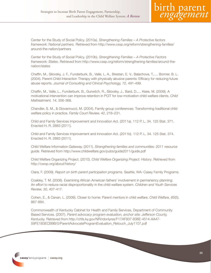Center for the Study of Social Policy. (2010a). *Strengthening Families – A Protective factors framework: National partners.* Retrieved from http://www.cssp.org/reform/strengthening-families/ around-the-nation/partners

Center for the Study of Social Policy. (2010b). *Strengthening Families – A Protective Factors framework: States*. Retrieved from http://www.cssp.org/reform/strengthening-families/around-thenation/states

Chaffin, M., Silovsky, J. F., Funderburk, B., Valle, L. A., Brestan, E. V., Balachova, T.,… Bonner, B. L. (2004). Parent-Child Interaction Therapy with physically abusive parents: Efficacy for reducing future abuse reports. *Journal of Consulting and Clinical Psychology, 72*, 491-499.

Chaffin, M., Valle, L., Funderburk, B., Gurwitch, R., Silovsky, J., Bard, D.,... Kees, M. (2009). A motivational intervention can improve retention in PCIT for low-motivation child welfare clients. *Child Maltreatment, 14*, 356-368.

Chandler, S. M., & Giovannucci, M. (2004). Family group conferences: Transforming traditional child welfare policy in practice. *Family Court Review, 42*, 216–231.

Child and Family Services Improvement and Innovation Act. (2011a). 112 P. L. 34. 125 Stat. 371. Enacted H. R. 2883 (2011).

Child and Family Services Improvement and Innovation Act. (2011b). 112 P. L. 34. 125 Stat. 374. Enacted H. R. 2883 (2011).

Child Welfare Information Gateway. (2011). *Strengthening families and communities: 2011 resource guide.* Retrieved from http://www.childwelfare.gov/pubs/guide2011/guide.pdf

Child Welfare Organizing Project. (2010). *Child Welfare Organizing Project: History*. Retrieved from http://cwop.org/about/history/

Clara, F. (2009). *Report on birth parent participation programs.* Seattle, WA: Casey Family Programs.

Coakley, T. M. (2008). Examining African American fathers' involvement in permanency planning: An effort to reduce racial disproportionality in the child welfare system. *Children and Youth Services Review, 30,* 407-417.

Cohen, E., & Canan, L. (2006). Closer to home: Parent mentors in child welfare. *Child Welfare, 85*(5), 867-884.

Commonwealth of Kentucky Cabinet for Health and Family Services, Department of Community Based Services. (2007). *Parent advocacy program evaluation, anchor site: Jefferson County, Kentucky.* Retrieved from http://chfs.ky.gov/NR/rdonlyres/F17AF937-836E-4514-AA47- 59FE1B3ECB9B/0/ParentAdvocateProgramEvaluation\_Retouch\_July1107.pdf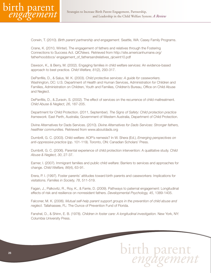

Corwin, T. (2010). *Birth parent partnership and engagement.* Seattle, WA: Casey Family Programs.

Crane, K. (2010, Winter). The engagement of fathers and relatives through the Fostering Connections to Success Act. *QICNews.* Retrieved from http://site.americanhumane.org/ fatherhooddocs/ engagement\_of\_fathersandrelatives\_qicwint10.pdf

Dawson, K., & Berry, M. (2002). Engaging families in child welfare services: An evidence-based approach to best practice. *Child Welfare, 81*(2), 293-317.

DePanfilis, D., & Salus, M. K. (2003). *Child protective services: A guide for caseworkers.* Washington, DC: U.S. Department of Health and Human Services, Administration for Children and Families, Administration on Children, Youth and Families, Children's Bureau, Office on Child Abuse and Neglect.

DePanfilis, D., & Zuravin, S. (2002). The effect of services on the recurrence of child maltreatment. *Child Abuse & Neglect, 26*, 187-205.

Department for Child Protection. (2011, September). *The Signs of Safety: Child protection practice framework.* East Perth, Australia; Government of Western Australia, Department of Child Protection.

Divine Alternatives for Dads Services. (2010). *Divine Alternatives for Dads Services: Stronger fathers, healthier communities.* Retrieved from www.aboutdads.org

Dumbrill, G. C. (2003). Child welfare: AOP's nemesis? In W. Shera (Ed.), *Emerging perspectives on anti-oppressive practice* (pp. 101-119). Toronto, ON: Canadian Scholars' Press.

Dumbrill, G. C. (2006). Parental experience of child protection intervention: A qualitative study. *Child Abuse & Neglect, 30*, 27-37.

Earner, I. (2007). Immigrant families and public child welfare: Barriers to services and approaches for change. *Child Welfare, 86*(4), 63-91.

Erera, P. I. (1997). Foster parents' attitudes toward birth parents and caseworkers: Implications for visitations. *Families in Society, 78*, 511-519.

Fagan, J., Palkovitz, R., Roy, K., & Farrie, D. (2009). Pathways to paternal engagement: Longitudinal effects of risk and resilience on nonresident fathers. *Developmental Psychology, 45*, 1389-1405.

Falconer, M. K. (2006). *Mutual self-help parent support groups in the prevention of child abuse and neglect.* Tallahassee, FL: The Ounce of Prevention Fund of Florida.

Fanshel, D., & Shinn, E. B. (1978). *Children in foster care: A longitudinal investigation.* New York, NY: Columbia University Press.

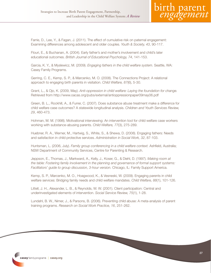Farrie, D., Lee, Y., & Fagan, J. (2011). The effect of cumulative risk on paternal engagement: Examining differences among adolescent and older couples. *Youth & Society, 43*, 90-117.

Flouri, E., & Buchanan, A. (2004). Early father's and mother's involvement and child's later educational outcomes. *British Journal of Educational Psychology, 74*, 141-153.

Garcia, K. Y., & Myslewicz, M. (2009). *Engaging fathers in the child welfare system.* Seattle, WA: Casey Family Programs.

Gerring, C. E., Kemp, S. P., & Marcenko, M. O. (2008). The Connections Project: A relational approach to engaging birth parents in visitation. *Child Welfare, 87*(6), 5-30.

Grant, L., & Ojo, K. (2009, May). *Anti-oppression in child welfare: Laying the foundation for change.* Retrieved from http://www.oacas.org/pubs/external/antioppressionpaper09may06.pdf

Green, B. L., Rockhill, A., & Furrer, C. (2007). Does substance abuse treatment make a difference for child welfare case outcomes? A statewide longitudinal analysis. *Children and Youth Services Review, 29*, 460-473.

Hohman, M. M. (1998). Motivational interviewing: An intervention tool for child welfare case workers working with substance-abusing parents. *Child Welfare, 77*(3), 275-289.

Huebner, R. A., Werner, M., Hartwig, S., White, S., & Shewa, D. (2008). Engaging fathers: Needs and satisfaction in child protective services. *Administration in Social Work, 32*, 87-103.

Huntsman, L. (2006, July). *Family group conferencing in a child welfare context.* Ashfield, Australia; NSW Department of Community Services, Centre for Parenting & Research.

Jeppson, E., Thomas, J., Markward, A., Kelly, J., Koser, G., & Diehl, D. (1997). *Making room at the table: Fostering family involvement in the planning and governance of formal support systems: Facilitators' guide to group discussion, 3-hour version.* Chicago, IL: Family Support America.

Kemp, S. P., Marcenko, M. O., Hoagwood, K., & Vesneski, W. (2009). Engaging parents in child welfare services: Bridging family needs and child welfare mandates. *Child Welfare, 88*(1), 101-126.

Littell, J. H., Alexander, L. B., & Reynolds, W. W. (2001). Client participation: Central and underinvestigated elements of intervention. *Social Service Review, 75*(1), 1-28.

Lundahl, B. W., Nimer, J., & Parsons, B. (2006). Preventing child abuse: A meta-analysis of parent training programs. *Research on Social Work Practice, 16*, 251-262.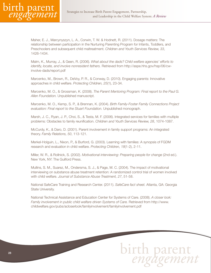

Maher, E. J., Marcynyszyn, L. A., Corwin, T. W. & Hodnett, R. (2011). Dosage matters: The relationship between participation in the Nurturing Parenting Program for Infants, Toddlers, and Preschoolers and subsequent child maltreatment. *Children and Youth Services Review, 33*, 1426-1434.

Malm, K., Murray, J., & Geen, R. (2006). *What about the dads? Child welfare agencies' efforts to identify, locate, and involve nonresident fathers.* Retrieved from http://aspe.hhs.gov/hsp/06/cwinvolve-dads/report.pdf

Marcenko, M., Brown, R., DeVoy, P. R., & Conway, D. (2010). Engaging parents: Innovative approaches in child welfare. *Protecting Children, 25*(1), 23-34.

Marcenko, M. O., & Grossman, K. (2008). *The Parent Mentoring Program: Final report to the Paul G. Allen Foundation.* Unpublished manuscript.

Marcenko, M. O., Kemp, S. P., & Brennan, K. (2004). *Birth Family-Foster Family Connections Project evaluation: Final report to the Stuart Foundation.* Unpublished monograph.

Marsh, J. C., Ryan, J. P., Choi, S., & Testa, M. F. (2006). Integrated services for families with multiple problems: Obstacles to family reunification. *Children and Youth Services Review, 28*, 1074-1087.

McCurdy, K., & Daro, D. (2001). Parent involvement in family support programs: An integrated theory. *Family Relations, 50*, 113-121.

Merkel-Holguin, L., Nixon, P., & Burford, G. (2003). Learning with families: A synopsis of FGDM research and evaluation in child welfare. *Protecting Children, 18*(1-2), 2-11.

Miller, W. R., & Rollnick, S. (2002). *Motivational interviewing: Preparing people for change* (2nd ed.). New York, NY: The Guilford Press.

Mullins, S. M., Suarez, M., Ondersma, S. J., & Page, M. C. (2004). The impact of motivational interviewing on substance abuse treatment retention: A randomized control trial of women involved with child welfare. *Journal of Substance Abuse Treatment, 27*, 51-58.

National SafeCare Training and Research Center. (2011). *SafeCare fact sheet.* Atlanta, GA: Georgia State University.

National Technical Assistance and Education Center for Systems of Care. (2008). *A closer look: Family involvement in public child welfare driven Systems of Care.* Retrieved from http://www. childwelfare.gov/pubs/acloserlook/familyinvolvement/familyinvolvement.pdf

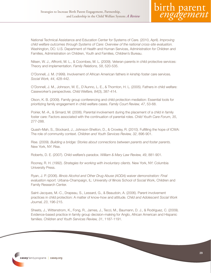

National Technical Assistance and Education Center for Systems of Care. (2010, April). *Improving child welfare outcomes through Systems of Care: Overview of the national cross-site evaluation.* Washington, DC: U.S. Department of Health and Human Services, Administration for Children and Families, Administration on Children, Youth and Families, Children's Bureau.

Nilsen, W. J., Affronti, M. L., & Coombes, M. L. (2009). Veteran parents in child protective services: Theory and implementation. *Family Relations, 58*, 520-535.

O'Donnell, J. M. (1999). Involvement of African American fathers in kinship foster care services. *Social Work, 44*, 428-442.

O'Donnell, J. M., Johnson, W. E., D'Aunno, L. E., & Thornton, H. L. (2005). Fathers in child welfare: Caseworker's perspectives. *Child Welfare, 84*(3), 387-414.

Olson, K. B. (2009). Family group conferencing and child protection mediation: Essential tools for prioritizing family engagement in child welfare cases. *Family Court Review, 47*, 53-68.

Poirier, M.-A., & Simard, M. (2006). Parental involvement during the placement of a child in family foster care: Factors associated with the continuation of parental roles. *Child Youth Care Forum, 35*, 277-288.

Quash-Mah, S., Stockard, J., Johnson-Shelton, D., & Crowley, R. (2010). Fulfilling the hope of ICWA: The role of community context. *Children and Youth Services Review, 32*, 896-901.

Rise. (2009). *Building a bridge: Stories about connections between parents and foster parents.* New York, NY: Rise.

Roberts, D. E. (2007). Child welfare's paradox. *William & Mary Law Review, 49*, 881-901.

Rooney, R. H. (1992). *Strategies for working with involuntary clients.* New York, NY: Columbia University Press.

Ryan, J. P. (2006). *Illinois Alcohol and Other Drug Abuse (AODA) waiver demonstration: Final evaluation report.* Urbana-Champaign, IL: University of Illinois School of Social Work, Children and Family Research Center.

Saint-Jacques, M.-C., Drapeau, S., Lessard, G., & Beaudoin, A. (2006). Parent involvement practices in child protection: A matter of know-how and attitude. *Child and Adolescent Social Work Journal, 23*, 196-215.

Sheets, J., Wittenstrom, K., Fong, R., James, J., Tecci, M., Baumann, D. J., & Rodriguez, C. (2009). Evidence-based practice in family group decision-making for Anglo, African American and Hispanic families. *Children and Youth Services Review, 31*, 1187-1191.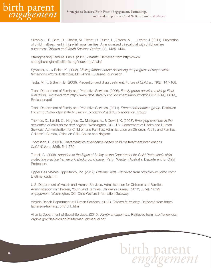

Silovsky, J. F., Bard, D., Chaffin, M., Hecht, D., Burris, L., Owora, A., ...Lutzker, J. (2011). Prevention of child maltreatment in high-risk rural families: A randomized clinical trial with child welfare outcomes. *Children and Youth Services Review, 33*, 1435-1444.

Strengthening Families Illinois. (2011). *Parents.* Retrieved from http://www. strengtheningfamiliesillinois.org/index.php/main/

Sylvester, K., & Reich, K. (2002). *Making fathers count: Assessing the progress of responsible fatherhood efforts.* Baltimore, MD: Annie E. Casey Foundation.

Testa, M. F., & Smith, B. (2009). Prevention and drug treatment. *Future of Children, 19*(2), 147-168.

Texas Department of Family and Protective Services. (2006). *Family group decision-making: Final evaluation.* Retrieved from http://www.dfps.state.tx.us/Documents/about/pdf/2006-10-09\_FGDM\_ Evaluation.pdf

Texas Department of Family and Protective Services. (2011). *Parent collaboration group.* Retrieved from http://www.dfps.state.tx.us/child\_protection/parent\_collaboration\_group/

Thomas, D., Leicht, C., Hughes, C., Madigan, A., & Dowell, K. (2003). *Emerging practices in the prevention of child abuse and neglect.* Washington, DC: U.S. Department of Health and Human Services, Administration for Children and Families, Administration on Children, Youth, and Families, Children's Bureau, Office on Child Abuse and Neglect.

Thomlison, B. (2003). Characteristics of evidence-based child maltreatment interventions. *Child Welfare, 82*(5), 541-569.

Turnell, A. (2008). *Adoption of the Signs of Safety as the Department for Child Protection's child protection practice framework: Background paper.* Perth, Western Australia: Department for Child Protection.

Upper Des Moines Opportunity, Inc. (2012). *Lifetime Dads.* Retrieved from http://www.udmo.com/ Lifetime\_dads.htm

U.S. Department of Health and Human Services, Administration for Children and Families, Administration on Children, Youth, and Families, Children's Bureau. (2010, June). *Family engagement.* Washington, DC: Child Welfare Information Gateway.

Virginia Beach Department of Human Services. (2011). *Fathers-in-training.* Retrieved from http:// fathers-in-training.com/F.I.T..html

Virginia Department of Social Services. (2010). *Family engagement.* Retrieved from http://www.dss. virginia.gov/files/division/dfs/fe/manual/manual.pdf

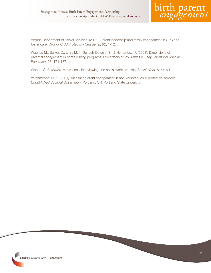

Virginia Department of Social Services. (2011). Parent leadership and family engagement in CPS and foster care. *Virginia Child Protection Newsletter, 92*, 1-12.

Wagner, M., Spiker, D., Linn, M. I., Gerlach-Downie, S., & Hernandez, F. (2003). Dimensions of parental engagement in home visiting programs: Exploratory study. *Topics in Early Childhood Special Education, 23*, 171-187.

Wahab, S. E. (2005). Motivational interviewing and social work practice. *Social Work, 5*, 45-60.

Yatchmenoff, D. K. (2001). Measuring client engagement in non-voluntary child protective services. *Unpublished doctoral dissertation.* Portland, OR: Portland State University.